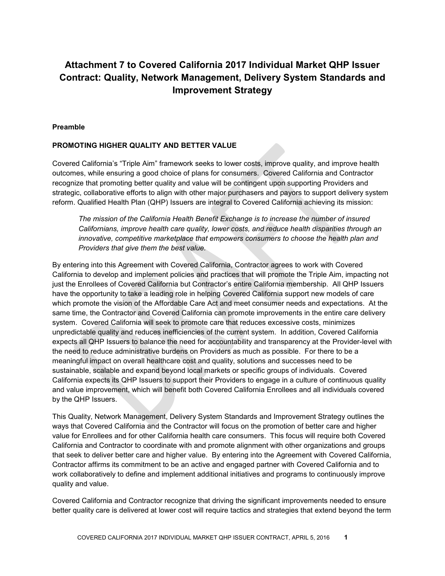# **Attachment 7 to Covered California 2017 Individual Market QHP Issuer Contract: Quality, Network Management, Delivery System Standards and Improvement Strategy**

#### **Preamble**

#### **PROMOTING HIGHER QUALITY AND BETTER VALUE**

Covered California's "Triple Aim" framework seeks to lower costs, improve quality, and improve health outcomes, while ensuring a good choice of plans for consumers. Covered California and Contractor recognize that promoting better quality and value will be contingent upon supporting Providers and strategic, collaborative efforts to align with other major purchasers and payors to support delivery system reform. Qualified Health Plan (QHP) Issuers are integral to Covered California achieving its mission:

*The mission of the California Health Benefit Exchange is to increase the number of insured Californians, improve health care quality, lower costs, and reduce health disparities through an innovative, competitive marketplace that empowers consumers to choose the health plan and Providers that give them the best value.* 

By entering into this Agreement with Covered California, Contractor agrees to work with Covered California to develop and implement policies and practices that will promote the Triple Aim, impacting not just the Enrollees of Covered California but Contractor's entire California membership. All QHP Issuers have the opportunity to take a leading role in helping Covered California support new models of care which promote the vision of the Affordable Care Act and meet consumer needs and expectations. At the same time, the Contractor and Covered California can promote improvements in the entire care delivery system. Covered California will seek to promote care that reduces excessive costs, minimizes unpredictable quality and reduces inefficiencies of the current system. In addition, Covered California expects all QHP Issuers to balance the need for accountability and transparency at the Provider-level with the need to reduce administrative burdens on Providers as much as possible. For there to be a meaningful impact on overall healthcare cost and quality, solutions and successes need to be sustainable, scalable and expand beyond local markets or specific groups of individuals. Covered California expects its QHP Issuers to support their Providers to engage in a culture of continuous quality and value improvement, which will benefit both Covered California Enrollees and all individuals covered by the QHP Issuers.

This Quality, Network Management, Delivery System Standards and Improvement Strategy outlines the ways that Covered California and the Contractor will focus on the promotion of better care and higher value for Enrollees and for other California health care consumers. This focus will require both Covered California and Contractor to coordinate with and promote alignment with other organizations and groups that seek to deliver better care and higher value. By entering into the Agreement with Covered California, Contractor affirms its commitment to be an active and engaged partner with Covered California and to work collaboratively to define and implement additional initiatives and programs to continuously improve quality and value.

Covered California and Contractor recognize that driving the significant improvements needed to ensure better quality care is delivered at lower cost will require tactics and strategies that extend beyond the term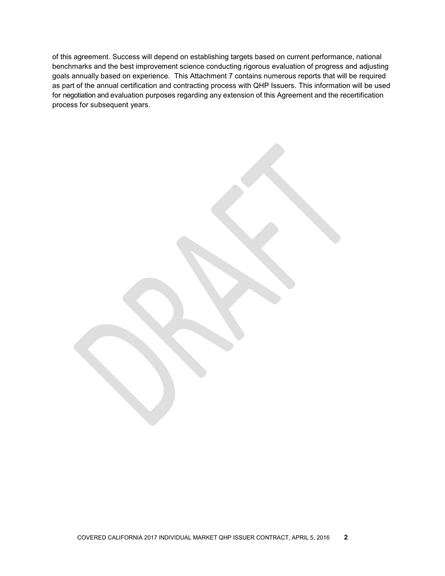of this agreement. Success will depend on establishing targets based on current performance, national benchmarks and the best improvement science conducting rigorous evaluation of progress and adjusting goals annually based on experience. This Attachment 7 contains numerous reports that will be required as part of the annual certification and contracting process with QHP Issuers. This information will be used for negotiation and evaluation purposes regarding any extension of this Agreement and the recertification process for subsequent years.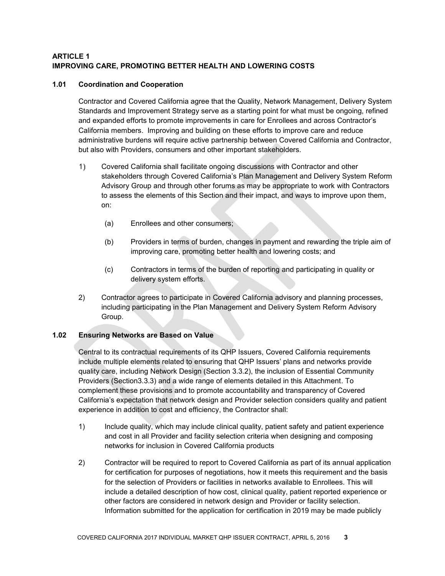# **ARTICLE 1 IMPROVING CARE, PROMOTING BETTER HEALTH AND LOWERING COSTS**

## **1.01 Coordination and Cooperation**

Contractor and Covered California agree that the Quality, Network Management, Delivery System Standards and Improvement Strategy serve as a starting point for what must be ongoing, refined and expanded efforts to promote improvements in care for Enrollees and across Contractor's California members. Improving and building on these efforts to improve care and reduce administrative burdens will require active partnership between Covered California and Contractor, but also with Providers, consumers and other important stakeholders.

- 1) Covered California shall facilitate ongoing discussions with Contractor and other stakeholders through Covered California's Plan Management and Delivery System Reform Advisory Group and through other forums as may be appropriate to work with Contractors to assess the elements of this Section and their impact, and ways to improve upon them, on:
	- (a) Enrollees and other consumers;
	- (b) Providers in terms of burden, changes in payment and rewarding the triple aim of improving care, promoting better health and lowering costs; and
	- (c) Contractors in terms of the burden of reporting and participating in quality or delivery system efforts.
- 2) Contractor agrees to participate in Covered California advisory and planning processes, including participating in the Plan Management and Delivery System Reform Advisory Group.

## **1.02 Ensuring Networks are Based on Value**

Central to its contractual requirements of its QHP Issuers, Covered California requirements include multiple elements related to ensuring that QHP Issuers' plans and networks provide quality care, including Network Design (Section 3.3.2), the inclusion of Essential Community Providers (Section3.3.3) and a wide range of elements detailed in this Attachment. To complement these provisions and to promote accountability and transparency of Covered California's expectation that network design and Provider selection considers quality and patient experience in addition to cost and efficiency, the Contractor shall:

- 1) Include quality, which may include clinical quality, patient safety and patient experience and cost in all Provider and facility selection criteria when designing and composing networks for inclusion in Covered California products
- 2) Contractor will be required to report to Covered California as part of its annual application for certification for purposes of negotiations, how it meets this requirement and the basis for the selection of Providers or facilities in networks available to Enrollees. This will include a detailed description of how cost, clinical quality, patient reported experience or other factors are considered in network design and Provider or facility selection. Information submitted for the application for certification in 2019 may be made publicly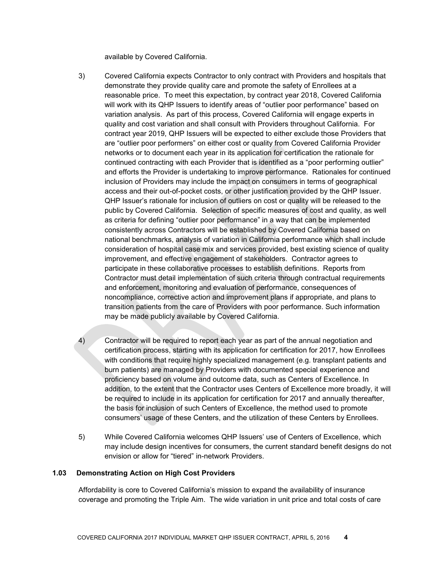available by Covered California.

- 3) Covered California expects Contractor to only contract with Providers and hospitals that demonstrate they provide quality care and promote the safety of Enrollees at a reasonable price. To meet this expectation, by contract year 2018, Covered California will work with its QHP Issuers to identify areas of "outlier poor performance" based on variation analysis. As part of this process, Covered California will engage experts in quality and cost variation and shall consult with Providers throughout California. For contract year 2019, QHP Issuers will be expected to either exclude those Providers that are "outlier poor performers" on either cost or quality from Covered California Provider networks or to document each year in its application for certification the rationale for continued contracting with each Provider that is identified as a "poor performing outlier" and efforts the Provider is undertaking to improve performance. Rationales for continued inclusion of Providers may include the impact on consumers in terms of geographical access and their out-of-pocket costs, or other justification provided by the QHP Issuer. QHP Issuer's rationale for inclusion of outliers on cost or quality will be released to the public by Covered California. Selection of specific measures of cost and quality, as well as criteria for defining "outlier poor performance" in a way that can be implemented consistently across Contractors will be established by Covered California based on national benchmarks, analysis of variation in California performance which shall include consideration of hospital case mix and services provided, best existing science of quality improvement, and effective engagement of stakeholders. Contractor agrees to participate in these collaborative processes to establish definitions. Reports from Contractor must detail implementation of such criteria through contractual requirements and enforcement, monitoring and evaluation of performance, consequences of noncompliance, corrective action and improvement plans if appropriate, and plans to transition patients from the care of Providers with poor performance. Such information may be made publicly available by Covered California.
- 4) Contractor will be required to report each year as part of the annual negotiation and certification process, starting with its application for certification for 2017, how Enrollees with conditions that require highly specialized management (e.g. transplant patients and burn patients) are managed by Providers with documented special experience and proficiency based on volume and outcome data, such as Centers of Excellence. In addition, to the extent that the Contractor uses Centers of Excellence more broadly, it will be required to include in its application for certification for 2017 and annually thereafter, the basis for inclusion of such Centers of Excellence, the method used to promote consumers' usage of these Centers, and the utilization of these Centers by Enrollees.
- 5) While Covered California welcomes QHP Issuers' use of Centers of Excellence, which may include design incentives for consumers, the current standard benefit designs do not envision or allow for "tiered" in-network Providers.

#### **1.03 Demonstrating Action on High Cost Providers**

Affordability is core to Covered California's mission to expand the availability of insurance coverage and promoting the Triple Aim. The wide variation in unit price and total costs of care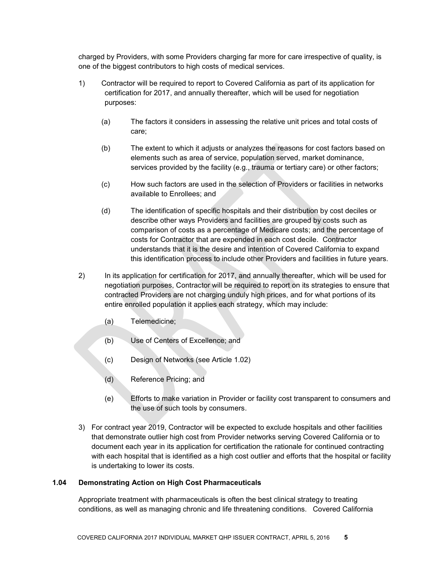charged by Providers, with some Providers charging far more for care irrespective of quality, is one of the biggest contributors to high costs of medical services.

- 1) Contractor will be required to report to Covered California as part of its application for certification for 2017, and annually thereafter, which will be used for negotiation purposes:
	- (a) The factors it considers in assessing the relative unit prices and total costs of care;
	- (b) The extent to which it adjusts or analyzes the reasons for cost factors based on elements such as area of service, population served, market dominance, services provided by the facility (e.g., trauma or tertiary care) or other factors;
	- (c) How such factors are used in the selection of Providers or facilities in networks available to Enrollees; and
	- (d) The identification of specific hospitals and their distribution by cost deciles or describe other ways Providers and facilities are grouped by costs such as comparison of costs as a percentage of Medicare costs; and the percentage of costs for Contractor that are expended in each cost decile. Contractor understands that it is the desire and intention of Covered California to expand this identification process to include other Providers and facilities in future years.
- 2) In its application for certification for 2017, and annually thereafter, which will be used for negotiation purposes, Contractor will be required to report on its strategies to ensure that contracted Providers are not charging unduly high prices, and for what portions of its entire enrolled population it applies each strategy, which may include:
	- (a) Telemedicine;
	- (b) Use of Centers of Excellence; and
	- (c) Design of Networks (see Article 1.02)
	- (d) Reference Pricing; and
	- (e) Efforts to make variation in Provider or facility cost transparent to consumers and the use of such tools by consumers.
- 3) For contract year 2019, Contractor will be expected to exclude hospitals and other facilities that demonstrate outlier high cost from Provider networks serving Covered California or to document each year in its application for certification the rationale for continued contracting with each hospital that is identified as a high cost outlier and efforts that the hospital or facility is undertaking to lower its costs.

## **1.04 Demonstrating Action on High Cost Pharmaceuticals**

Appropriate treatment with pharmaceuticals is often the best clinical strategy to treating conditions, as well as managing chronic and life threatening conditions. Covered California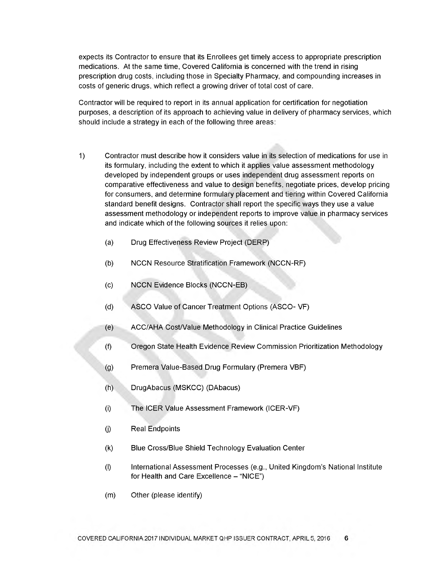expects its Contractor to ensure that its Enrollees get timely access to appropriate prescription medications. At the same time, Covered California is concerned with the trend in rising prescription drug costs, including those in Specialty Pharmacy, and compounding increases in costs of generic drugs, which reflect a growing driver of total cost of care.

Contractor will be required to report in its annual application for certification for negotiation purposes, a description of its approach to achieving value in delivery of pharmacy services, which should include a strategy in each of the following three areas:

- 1) Contractor must describe how it considers value in its selection of medications for use in its formulary, including the extent to which it applies value assessment methodology developed by independent groups or uses independent drug assessment reports on comparative effectiveness and value to design benefits, negotiate prices, develop pricing for consumers, and determine formulary placement and tiering within Covered California standard benefit designs. Contractor shall report the specific ways they use a value assessment methodology or independent reports to improve value in pharmacy services and indicate which of the following sources it relies upon:
	- (a) Drug Effectiveness Review Project (DERP)
	- (b) NCCN Resource Stratification Framework (NCCN-RF)
	- (c) NCCN Evidence Blocks (NCCN-EB)
	- (d) ASCO Value of Cancer Treatment Options (ASCO- VF)
	- (e) ACC/AHA Cost/Value Methodology in Clinical Practice Guidelines
	- (f) Oregon State Health Evidence Review Commission Prioritization Methodology
	- (g) Premera Value-Based Drug Formulary (Premera VBF)
	- (h) DrugAbacus (MSKCC) (DAbacus)
	- (i) The ICER Value Assessment Framework (ICER-VF)
	- (j) Real Endpoints
	- (k) Blue Cross/Blue Shield Technology Evaluation Center
	- (l) International Assessment Processes (e.g., United Kingdom's National Institute for Health and Care Excellence - "NICE")
	- (m) Other (please identify)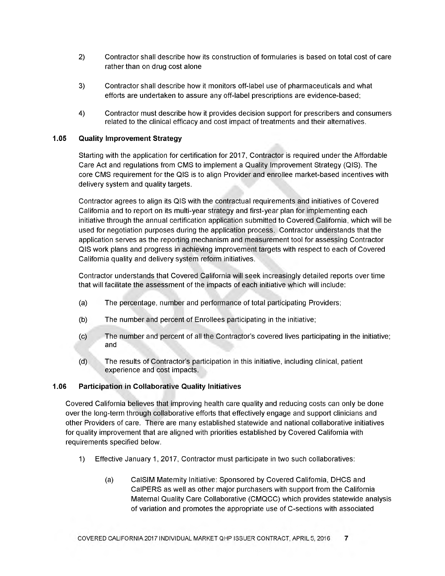- 2) Contractor shall describe how its construction of formularies is based on total cost of care rather than on drug cost alone
- 3) Contractor shall describe how it monitors off-label use of pharmaceuticals and what efforts are undertaken to assure any off-label prescriptions are evidence-based;
- 4) Contractor must describe how it provides decision support for prescribers and consumers related to the clinical efficacy and cost impact of treatments and their alternatives.

#### 1.05 Quality Improvement Strategy

Starting with the application for certification for 2017, Contractor is required under the Affordable Care Act and regulations from CMS to implement a Quality Improvement Strategy (QIS). The core CMS requirement for the QIS is to align Provider and enrollee market-based incentives with delivery system and quality targets.

Contractor agrees to align its QIS with the contractual requirements and initiatives of Covered California and to report on its multi-year strategy and first-year plan for implementing each initiative through the annual certification application submitted to Covered California, which will be used for negotiation purposes during the application process. Contractor understands that the application serves as the reporting mechanism and measurement tool for assessing Contractor QIS work plans and progress in achieving improvement targets with respect to each of Covered California quality and delivery system reform initiatives.

Contractor understands that Covered California will seek increasingly detailed reports over time that will facilitate the assessment of the impacts of each initiative which will include:

- (a) The percentage, number and performance of total participating Providers;
- (b) The number and percent of Enrollees participating in the initiative;
- (c) The number and percent of all the Contractor's covered lives participating in the initiative; and
- (d) The results of Contractor's participation in this initiative, including clinical, patient experience and cost impacts.

#### 1.06 Participation in Collaborative Quality Initiatives

Covered California believes that improving health care quality and reducing costs can only be done over the long-term through collaborative efforts that effectively engage and support clinicians and other Providers of care. There are many established statewide and national collaborative initiatives for quality improvement that are aligned with priorities established by Covered California with requirements specified below.

- 1) Effective January 1, 2017, Contractor must participate in two such collaboratives:
	- (a) CalSIM Maternity Initiative: Sponsored by Covered California, DHCS and CalPERS as well as other major purchasers with support from the California Maternal Quality Care Collaborative (CMQCC) which provides statewide analysis of variation and promotes the appropriate use of C-sections with associated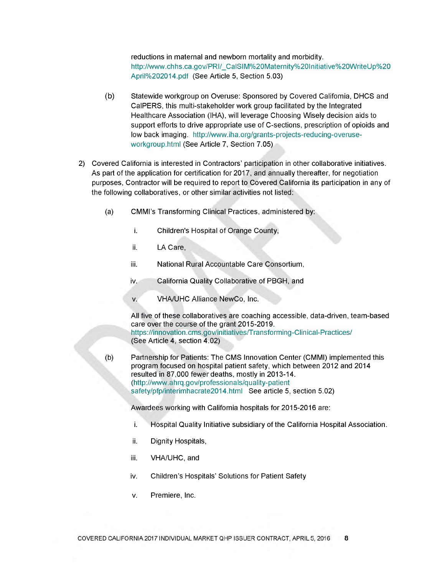reductions in maternal and newborn mortality and morbidity. [http://www.chhs.ca.gov/PRI/\\_CalSIM%20Maternity%20Initiative%20WriteUp%20](http://www.chhs.ca.gov/PRI/_CalSIM%20Maternity%20Initiative%20WriteUp%20April%202014.pdf) [April%202014.pdf](http://www.chhs.ca.gov/PRI/_CalSIM%20Maternity%20Initiative%20WriteUp%20April%202014.pdf) (See Article 5, Section 5.03)

- (b) Statewide workgroup on Overuse: Sponsored by Covered California, DHCS and CalPERS, this multi-stakeholder work group facilitated by the Integrated Healthcare Association (IHA), will leverage Choosing Wisely decision aids to support efforts to drive appropriate use of C-sections, prescription of opioids and low back imaging. [http://www.iha.org/grants-projects-reducing-overuse](http://www.iha.org/grants-projects-reducing-overuse-workgroup.html)[workgroup.html](http://www.iha.org/grants-projects-reducing-overuse-workgroup.html) (See Article 7, Section 7.05)
- 2) Covered California is interested in Contractors' participation in other collaborative initiatives. As part of the application for certification for 2017, and annually thereafter, for negotiation purposes, Contractor will be required to report to Covered California its participation in any of the following collaboratives, or other similar activities not listed:
	- (a) CMMI's Transforming Clinical Practices, administered by:
		- i. Children's Hospital of Orange County,
		- ii. LA Care,
		- iii. National Rural Accountable Care Consortium,
		- iv. California Quality Collaborative of PBGH, and
		- v. VHA/UHC Alliance NewCo, Inc.

All five of these collaboratives are coaching accessible, data-driven, team-based care over the course of the grant 2015-2019. <https://innovation.cms.gov/initiatives/Transforming-Clinical-Practices/> (See Article 4, section 4.02)

(b) Partnership for Patients: The CMS Innovation Center (CMMI) implemented this program focused on hospital patient safety, which between 2012 and 2014 resulted in 87,000 fewer deaths, mostly in 2013-14. [\(http://www.ahrq.gov/professionals/quality-patient](http://www.ahrq.gov/professionals/quality-patient%20safety/pfp/interimhacrate2014.html) [safety/pfp/interimhacrate2014.html](http://www.ahrq.gov/professionals/quality-patient%20safety/pfp/interimhacrate2014.html) See article 5, section 5.02)

Awardees working with California hospitals for 2015-2016 are:

- i. Hospital Quality Initiative subsidiary of the California Hospital Association.
- ii. Dignity Hospitals,
- iii. VHA/UHC, and
- iv. Children's Hospitals' Solutions for Patient Safety
- v. Premiere, Inc.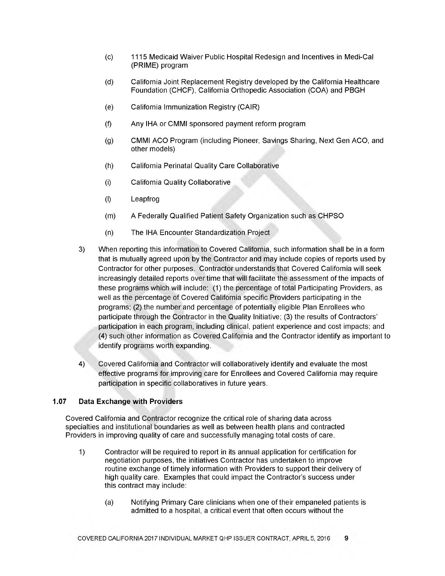- (c) 1115 Medicaid Waiver Public Hospital Redesign and Incentives in Medi-Cal (PRIME) program
- (d) California Joint Replacement Registry developed by the California Healthcare Foundation (CHCF), California Orthopedic Association (COA) and PBGH
- (e) California Immunization Registry (CAIR)
- (f) Any IHA or CMMI sponsored payment reform program
- (g) CMMI ACO Program (including Pioneer, Savings Sharing, Next Gen ACO, and other models)
- (h) California Perinatal Quality Care Collaborative
- (i) California Quality Collaborative
- (l) Leapfrog
- (m) A Federally Qualified Patient Safety Organization such as CHPSO
- (n) The IHA Encounter Standardization Project
- 3) When reporting this information to Covered California, such information shall be in a form that is mutually agreed upon by the Contractor and may include copies of reports used by Contractor for other purposes. Contractor understands that Covered California will seek increasingly detailed reports over time that will facilitate the assessment of the impacts of these programs which will include: (1) the percentage of total Participating Providers, as well as the percentage of Covered California specific Providers participating in the programs; (2) the number and percentage of potentially eligible Plan Enrollees who participate through the Contractor in the Quality Initiative; (3) the results of Contractors' participation in each program, including clinical, patient experience and cost impacts; and (4) such other information as Covered California and the Contractor identify as important to identify programs worth expanding.
- 4) Covered California and Contractor will collaboratively identify and evaluate the most effective programs for improving care for Enrollees and Covered California may require participation in specific collaboratives in future years.

#### 1.07 Data Exchange with Providers

Covered California and Contractor recognize the critical role of sharing data across specialties and institutional boundaries as well as between health plans and contracted Providers in improving quality of care and successfully managing total costs of care.

- 1) Contractor will be required to report in its annual application for certification for negotiation purposes, the initiatives Contractor has undertaken to improve routine exchange of timely information with Providers to support their delivery of high quality care. Examples that could impact the Contractor's success under this contract may include:
	- (a) Notifying Primary Care clinicians when one of their empaneled patients is admitted to a hospital, a critical event that often occurs without the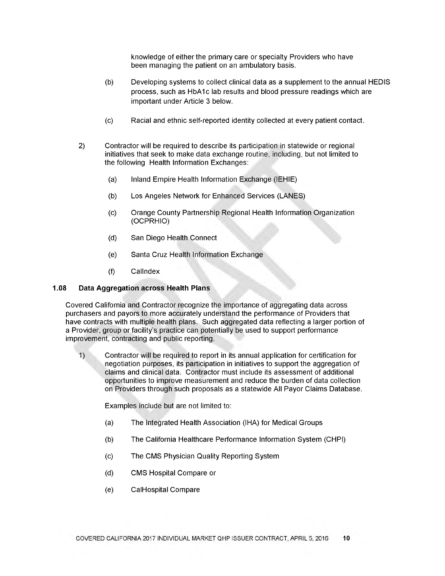knowledge of either the primary care or specialty Providers who have been managing the patient on an ambulatory basis.

- (b) Developing systems to collect clinical data as a supplement to the annual HEDIS process, such as HbA1c lab results and blood pressure readings which are important under Article 3 below.
- (c) Racial and ethnic self-reported identity collected at every patient contact.
- 2) Contractor will be required to describe its participation in statewide or regional initiatives that seek to make data exchange routine, including, but not limited to the following Health Information Exchanges:
	- (a) Inland Empire Health Information Exchange (IEHIE)
	- (b) Los Angeles Network for Enhanced Services (LANES)
	- (c) Orange County Partnership Regional Health Information Organization (OCPRHIO)
	- (d) San Diego Health Connect
	- (e) Santa Cruz Health Information Exchange
	- (f) CalIndex

#### 1.08 Data Aggregation across Health Plans

Covered California and Contractor recognize the importance of aggregating data across purchasers and payors to more accurately understand the performance of Providers that have contracts with multiple health plans. Such aggregated data reflecting a larger portion of a Provider, group or facility's practice can potentially be used to support performance improvement, contracting and public reporting.

1) Contractor will be required to report in its annual application for certification for negotiation purposes, its participation in initiatives to support the aggregation of claims and clinical data. Contractor must include its assessment of additional opportunities to improve measurement and reduce the burden of data collection on Providers through such proposals as a statewide All Payor Claims Database.

Examples include but are not limited to:

- (a) The Integrated Health Association (IHA) for Medical Groups
- (b) The California Healthcare Performance Information System (CHPI)
- (c) The CMS Physician Quality Reporting System
- (d) CMS Hospital Compare or
- (e) CalHospital Compare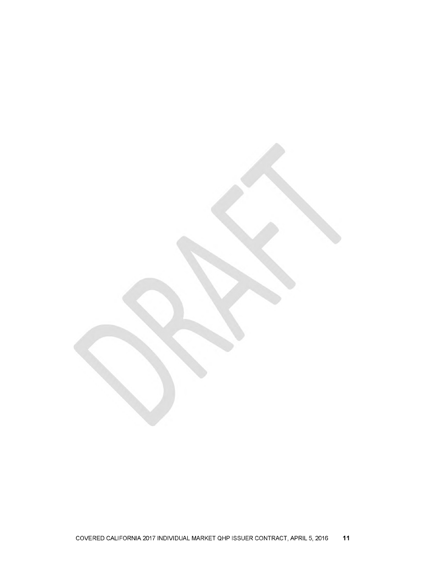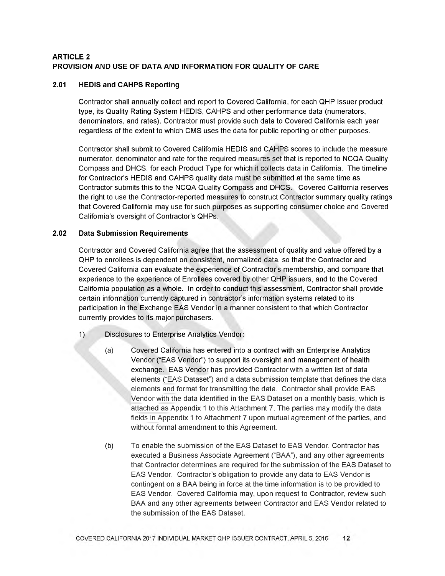# ARTICLE 2 PROVISION AND USE OF DATA AND INFORMATION FOR QUALITY OF CARE

## 2.01 HEDIS and CAHPS Reporting

Contractor shall annually collect and report to Covered California, for each QHP Issuer product type, its Quality Rating System HEDIS, CAHPS and other performance data (numerators, denominators, and rates). Contractor must provide such data to Covered California each year regardless of the extent to which CMS uses the data for public reporting or other purposes.

Contractor shall submit to Covered California HEDIS and CAHPS scores to include the measure numerator, denominator and rate for the required measures set that is reported to NCQA Quality Compass and DHCS, for each Product Type for which it collects data in California. The timeline for Contractor's HEDIS and CAHPS quality data must be submitted at the same time as Contractor submits this to the NCQA Quality Compass and DHCS. Covered California reserves the right to use the Contractor-reported measures to construct Contractor summary quality ratings that Covered California may use for such purposes as supporting consumer choice and Covered California's oversight of Contractor's QHPs.

## 2.02 Data Submission Requirements

Contractor and Covered California agree that the assessment of quality and value offered by a QHP to enrollees is dependent on consistent, normalized data, so that the Contractor and Covered California can evaluate the experience of Contractor's membership, and compare that experience to the experience of Enrollees covered by other QHP issuers, and to the Covered California population as a whole. In order to conduct this assessment, Contractor shall provide certain information currently captured in contractor's information systems related to its participation in the Exchange EAS Vendor in a manner consistent to that which Contractor currently provides to its major purchasers.

- 1) Disclosures to Enterprise Analytics Vendor:
	- (a) Covered California has entered into a contract with an Enterprise Analytics Vendor ("EAS Vendor") to support its oversight and management of health exchange. EAS Vendor has provided Contractor with a written list of data elements ("EAS Dataset") and a data submission template that defines the data elements and format for transmitting the data. Contractor shall provide EAS Vendor with the data identified in the EAS Dataset on a monthly basis, which is attached as Appendix 1 to this Attachment 7. The parties may modify the data fields in Appendix 1 to Attachment 7 upon mutual agreement of the parties, and without formal amendment to this Agreement.
	- (b) To enable the submission of the EAS Dataset to EAS Vendor, Contractor has executed a Business Associate Agreement ("BAA"), and any other agreements that Contractor determines are required for the submission of the EAS Dataset to EAS Vendor. Contractor's obligation to provide any data to EAS Vendor is contingent on a BAA being in force at the time information is to be provided to EAS Vendor. Covered California may, upon request to Contractor, review such BAA and any other agreements between Contractor and EAS Vendor related to the submission of the EAS Dataset.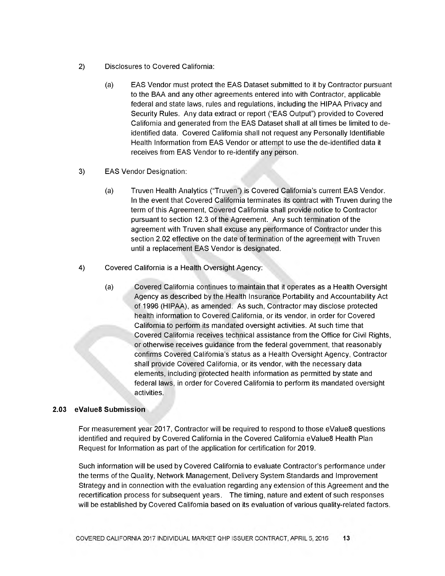- 2) Disclosures to Covered California:
	- (a) EAS Vendor must protect the EAS Dataset submitted to it by Contractor pursuant to the BAA and any other agreements entered into with Contractor, applicable federal and state laws, rules and regulations, including the HIPAA Privacy and Security Rules. Any data extract or report ("EAS Output") provided to Covered California and generated from the EAS Dataset shall at all times be limited to deidentified data. Covered California shall not request any Personally Identifiable Health Information from EAS Vendor or attempt to use the de-identified data it receives from EAS Vendor to re-identify any person.
- 3) EAS Vendor Designation:
	- (a) Truven Health Analytics ("Truven") is Covered California's current EAS Vendor. In the event that Covered California terminates its contract with Truven during the term of this Agreement, Covered California shall provide notice to Contractor pursuant to section 12.3 of the Agreement. Any such termination of the agreement with Truven shall excuse any performance of Contractor under this section 2.02 effective on the date of termination of the agreement with Truven until a replacement EAS Vendor is designated.
- 4) Covered California is a Health Oversight Agency:
	- (a) Covered California continues to maintain that it operates as a Health Oversight Agency as described by the Health Insurance Portability and Accountability Act of 1996 (HIPAA), as amended. As such, Contractor may disclose protected health information to Covered California, or its vendor, in order for Covered California to perform its mandated oversight activities. At such time that Covered California receives technical assistance from the Office for Civil Rights, or otherwise receives guidance from the federal government, that reasonably confirms Covered California's status as a Health Oversight Agency, Contractor shall provide Covered California, or its vendor, with the necessary data elements, including protected health information as permitted by state and federal laws, in order for Covered California to perform its mandated oversight activities.

#### 2.03 eValue8 Submission

For measurement year 2017, Contractor will be required to respond to those eValue8 questions identified and required by Covered California in the Covered California eValue8 Health Plan Request for Information as part of the application for certification for 2019.

Such information will be used by Covered California to evaluate Contractor's performance under the terms of the Quality, Network Management, Delivery System Standards and Improvement Strategy and in connection with the evaluation regarding any extension of this Agreement and the recertification process for subsequent years. The timing, nature and extent of such responses will be established by Covered California based on its evaluation of various quality-related factors.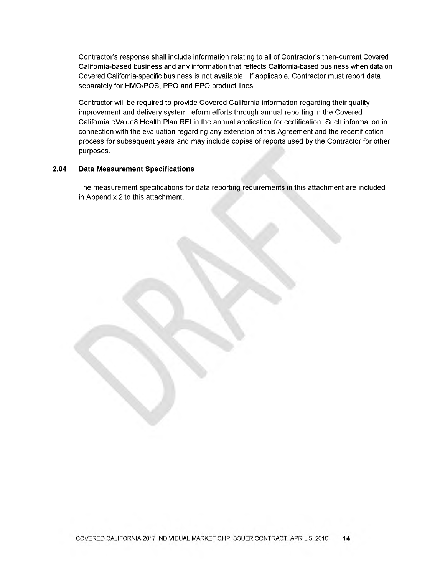Contractor's response shall include information relating to all of Contractor's then-current Covered California-based business and any information that reflects California-based business when data on Covered California-specific business is not available. If applicable, Contractor must report data separately for HMO/POS, PPO and EPO product lines.

Contractor will be required to provide Covered California information regarding their quality improvement and delivery system reform efforts through annual reporting in the Covered California eValue8 Health Plan RFI in the annual application for certification. Such information in connection with the evaluation regarding any extension of this Agreement and the recertification process for subsequent years and may include copies of reports used by the Contractor for other purposes.

#### 2.04 Data Measurement Specifications

The measurement specifications for data reporting requirements in this attachment are included in Appendix 2 to this attachment.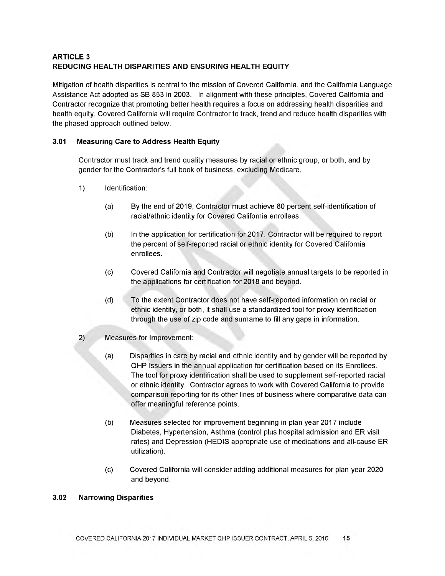# ARTICLE 3 REDUCING HEALTH DISPARITIES AND ENSURING HEALTH EQUITY

Mitigation of health disparities is central to the mission of Covered California, and the California Language Assistance Act adopted as SB 853 in 2003. In alignment with these principles, Covered California and Contractor recognize that promoting better health requires a focus on addressing health disparities and health equity. Covered California will require Contractor to track, trend and reduce health disparities with the phased approach outlined below.

# 3.01 Measuring Care to Address Health Equity

Contractor must track and trend quality measures by racial or ethnic group, or both, and by gender for the Contractor's full book of business, excluding Medicare.

- 1) Identification:
	- (a) By the end of 2019, Contractor must achieve 80 percent self-identification of racial/ethnic identity for Covered California enrollees.
	- (b) In the application for certification for 2017, Contractor will be required to report the percent of self-reported racial or ethnic identity for Covered California enrollees.
	- (c) Covered California and Contractor will negotiate annual targets to be reported in the applications for certification for 2018 and beyond.
	- (d) To the extent Contractor does not have self-reported information on racial or ethnic identity, or both, it shall use a standardized tool for proxy identification through the use of zip code and surname to fill any gaps in information.
- 2) Measures for Improvement:
	- (a) Disparities in care by racial and ethnic identity and by gender will be reported by QHP Issuers in the annual application for certification based on its Enrollees. The tool for proxy identification shall be used to supplement self-reported racial or ethnic identity. Contractor agrees to work with Covered California to provide comparison reporting for its other lines of business where comparative data can offer meaningful reference points.
	- (b) Measures selected for improvement beginning in plan year 2017 include Diabetes, Hypertension, Asthma (control plus hospital admission and ER visit rates) and Depression (HEDIS appropriate use of medications and all-cause ER utilization).
	- (c) Covered California will consider adding additional measures for plan year 2020 and beyond.

## 3.02 Narrowing Disparities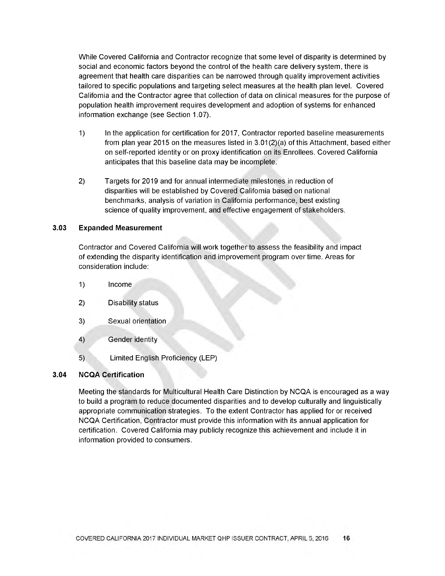While Covered California and Contractor recognize that some level of disparity is determined by social and economic factors beyond the control of the health care delivery system, there is agreement that health care disparities can be narrowed through quality improvement activities tailored to specific populations and targeting select measures at the health plan level. Covered California and the Contractor agree that collection of data on clinical measures for the purpose of population health improvement requires development and adoption of systems for enhanced information exchange (see Section 1.07).

- 1) In the application for certification for 2017, Contractor reported baseline measurements from plan year 2015 on the measures listed in 3.01(2)(a) of this Attachment, based either on self-reported identity or on proxy identification on its Enrollees. Covered California anticipates that this baseline data may be incomplete.
- 2) Targets for 2019 and for annual intermediate milestones in reduction of disparities will be established by Covered California based on national benchmarks, analysis of variation in California performance, best existing science of quality improvement, and effective engagement of stakeholders.

#### 3.03 Expanded Measurement

Contractor and Covered California will work together to assess the feasibility and impact of extending the disparity identification and improvement program over time. Areas for consideration include:

- 1) Income
- 2) Disability status
- 3) Sexual orientation
- 4) Gender identity
- 5) Limited English Proficiency (LEP)

## 3.04 NCQA Certification

Meeting the standards for Multicultural Health Care Distinction by NCQA is encouraged as a way to build a program to reduce documented disparities and to develop culturally and linguistically appropriate communication strategies. To the extent Contractor has applied for or received NCQA Certification, Contractor must provide this information with its annual application for certification. Covered California may publicly recognize this achievement and include it in information provided to consumers.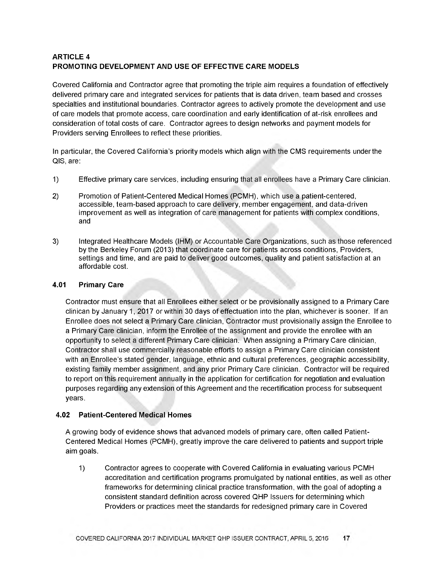# ARTICLE 4 PROMOTING DEVELOPMENT AND USE OF EFFECTIVE CARE MODELS

Covered California and Contractor agree that promoting the triple aim requires a foundation of effectively delivered primary care and integrated services for patients that is data driven, team based and crosses specialties and institutional boundaries. Contractor agrees to actively promote the development and use of care models that promote access, care coordination and early identification of at-risk enrollees and consideration of total costs of care. Contractor agrees to design networks and payment models for Providers serving Enrollees to reflect these priorities.

In particular, the Covered California's priority models which align with the CMS requirements under the QIS, are:

- 1) Effective primary care services, including ensuring that all enrollees have a Primary Care clinician.
- 2) Promotion of Patient-Centered Medical Homes (PCMH), which use a patient-centered, accessible, team-based approach to care delivery, member engagement, and data-driven improvement as well as integration of care management for patients with complex conditions, and
- 3) Integrated Healthcare Models (IHM) or Accountable Care Organizations, such as those referenced by the Berkeley Forum (2013) that coordinate care for patients across conditions, Providers, settings and time, and are paid to deliver good outcomes, quality and patient satisfaction at an affordable cost.

#### 4.01 Primary Care

Contractor must ensure that all Enrollees either select or be provisionally assigned to a Primary Care clinican by January 1 , 2017 or within 30 days of effectuation into the plan, whichever is sooner. If an Enrollee does not select a Primary Care clinician, Contractor must provisionally assign the Enrollee to a Primary Care clinician, inform the Enrollee of the assignment and provide the enrollee with an opportunity to select a different Primary Care clinician. When assigning a Primary Care clinician, Contractor shall use commercially reasonable efforts to assign a Primary Care clinician consistent with an Enrollee's stated gender, language, ethnic and cultural preferences, geographic accessibility, existing family member assignment, and any prior Primary Care clinician. Contractor will be required to report on this requirement annually in the application for certification for negotiation and evaluation purposes regarding any extension of this Agreement and the recertification process for subsequent years.

## 4.02 Patient-Centered Medical Homes

A growing body of evidence shows that advanced models of primary care, often called Patient-Centered Medical Homes (PCMH), greatly improve the care delivered to patients and support triple aim goals.

1) Contractor agrees to cooperate with Covered California in evaluating various PCMH accreditation and certification programs promulgated by national entities, as well as other frameworks for determining clinical practice transformation, with the goal of adopting a consistent standard definition across covered QHP Issuers for determining which Providers or practices meet the standards for redesigned primary care in Covered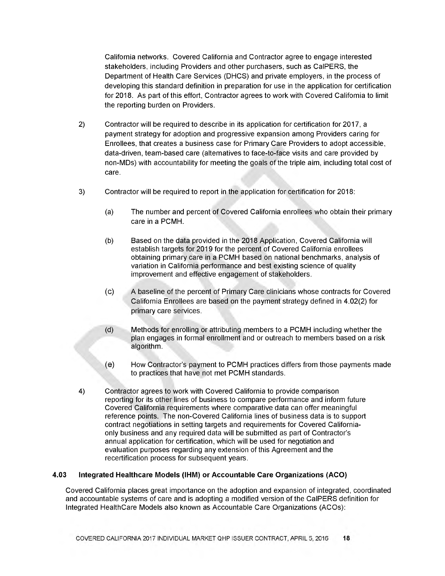California networks. Covered California and Contractor agree to engage interested stakeholders, including Providers and other purchasers, such as CalPERS, the Department of Health Care Services (DHCS) and private employers, in the process of developing this standard definition in preparation for use in the application for certification for 2018. As part of this effort, Contractor agrees to work with Covered California to limit the reporting burden on Providers.

- 2) Contractor will be required to describe in its application for certification for 2017, a payment strategy for adoption and progressive expansion among Providers caring for Enrollees, that creates a business case for Primary Care Providers to adopt accessible, data-driven, team-based care (alternatives to face-to-face visits and care provided by non-MDs) with accountability for meeting the goals of the triple aim, including total cost of care.
- 3) Contractor will be required to report in the application for certification for 2018:
	- (a) The number and percent of Covered California enrollees who obtain their primary care in a PCMH.
	- (b) Based on the data provided in the 2018 Application, Covered California will establish targets for 2019 for the percent of Covered California enrollees obtaining primary care in a PCMH based on national benchmarks, analysis of variation in California performance and best existing science of quality improvement and effective engagement of stakeholders.
	- (c) A baseline of the percent of Primary Care clinicians whose contracts for Covered California Enrollees are based on the payment strategy defined in 4.02(2) for primary care services.
	- (d) Methods for enrolling or attributing members to a PCMH including whether the plan engages in formal enrollment and or outreach to members based on a risk algorithm.
	- (e) How Contractor's payment to PCMH practices differs from those payments made to practices that have not met PCMH standards.
- 4) Contractor agrees to work with Covered California to provide comparison reporting for its other lines of business to compare performance and inform future Covered California requirements where comparative data can offer meaningful reference points. The non-Covered California lines of business data is to support contract negotiations in setting targets and requirements for Covered Californiaonly business and any required data will be submitted as part of Contractor's annual application for certification, which will be used for negotiation and evaluation purposes regarding any extension of this Agreement and the recertification process for subsequent years.

## 4.03 Integrated Healthcare Models (IHM) or Accountable Care Organizations (ACO)

Covered California places great importance on the adoption and expansion of integrated, coordinated and accountable systems of care and is adopting a modified version of the CalPERS definition for Integrated HealthCare Models also known as Accountable Care Organizations (ACOs):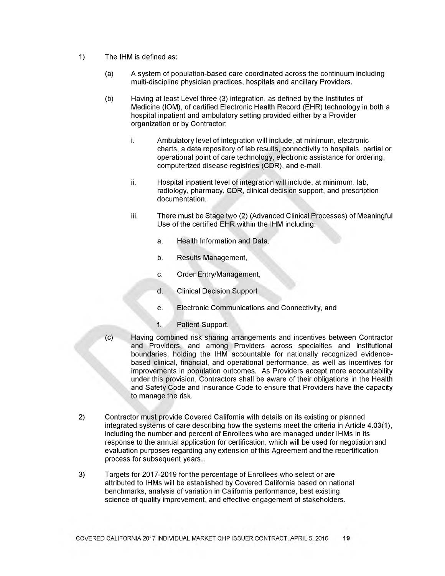- 1) The IHM is defined as:
	- (a) A system of population-based care coordinated across the continuum including multi-discipline physician practices, hospitals and ancillary Providers.
	- (b) Having at least Level three (3) integration, as defined by the Institutes of Medicine (IOM), of certified Electronic Health Record (EHR) technology in both a hospital inpatient and ambulatory setting provided either by a Provider organization or by Contractor:
		- i. Ambulatory level of integration will include, at minimum, electronic charts, a data repository of lab results, connectivity to hospitals, partial or operational point of care technology, electronic assistance for ordering, computerized disease registries (CDR), and e-mail.
		- ii. Hospital inpatient level of integration will include, at minimum, lab, radiology, pharmacy, CDR, clinical decision support, and prescription documentation.
		- iii. There must be Stage two (2) (Advanced Clinical Processes) of Meaningful Use of the certified EHR within the IHM including:
			- a. Health Information and Data,
			- b. Results Management,
			- c. Order Entry/Management,
			- d. Clinical Decision Support
			- e. Electronic Communications and Connectivity, and
			- f. Patient Support.
	- (c) Having combined risk sharing arrangements and incentives between Contractor and Providers, and among Providers across specialties and institutional boundaries, holding the IHM accountable for nationally recognized evidencebased clinical, financial, and operational performance, as well as incentives for improvements in population outcomes. As Providers accept more accountability under this provision, Contractors shall be aware of their obligations in the Health and Safety Code and Insurance Code to ensure that Providers have the capacity to manage the risk.
- 2) Contractor must provide Covered California with details on its existing or planned integrated systems of care describing how the systems meet the criteria in Article 4.03(1), including the number and percent of Enrollees who are managed under IHMs in its response to the annual application for certification, which will be used for negotiation and evaluation purposes regarding any extension of this Agreement and the recertification process for subsequent years..
- 3) Targets for 2017-2019 for the percentage of Enrollees who select or are attributed to IHMs will be established by Covered California based on national benchmarks, analysis of variation in California performance, best existing science of quality improvement, and effective engagement of stakeholders.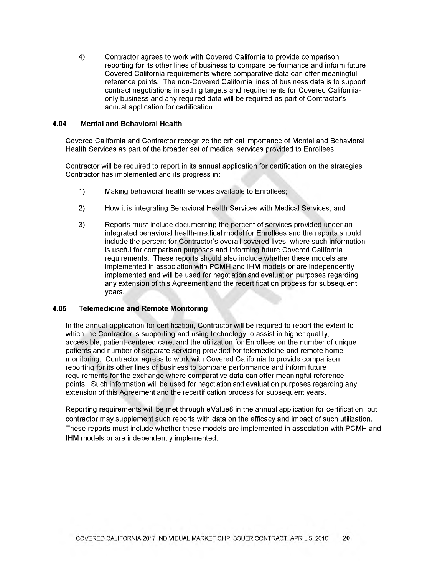4) Contractor agrees to work with Covered California to provide comparison reporting for its other lines of business to compare performance and inform future Covered California requirements where comparative data can offer meaningful reference points. The non-Covered California lines of business data is to support contract negotiations in setting targets and requirements for Covered Californiaonly business and any required data will be required as part of Contractor's annual application for certification.

#### 4.04 Mental and Behavioral Health

Covered California and Contractor recognize the critical importance of Mental and Behavioral Health Services as part of the broader set of medical services provided to Enrollees.

Contractor will be required to report in its annual application for certification on the strategies Contractor has implemented and its progress in:

- 1) Making behavioral health services available to Enrollees;
- 2) How it is integrating Behavioral Health Services with Medical Services; and
- 3) Reports must include documenting the percent of services provided under an integrated behavioral health-medical model for Enrollees and the reports should include the percent for Contractor's overall covered lives, where such information is useful for comparison purposes and informing future Covered California requirements. These reports should also include whether these models are implemented in association with PCMH and IHM models or are independently implemented and will be used for negotiation and evaluation purposes regarding any extension of this Agreement and the recertification process for subsequent years.

#### 4.05 Telemedicine and Remote Monitoring

In the annual application for certification, Contractor will be required to report the extent to which the Contractor is supporting and using technology to assist in higher quality, accessible, patient-centered care, and the utilization for Enrollees on the number of unique patients and number of separate servicing provided for telemedicine and remote home monitoring. Contractor agrees to work with Covered California to provide comparison reporting for its other lines of business to compare performance and inform future requirements for the exchange where comparative data can offer meaningful reference points. Such information will be used for negotiation and evaluation purposes regarding any extension of this Agreement and the recertification process for subsequent years.

Reporting requirements will be met through eValue8 in the annual application for certification, but contractor may supplement such reports with data on the efficacy and impact of such utilization. These reports must include whether these models are implemented in association with PCMH and IHM models or are independently implemented.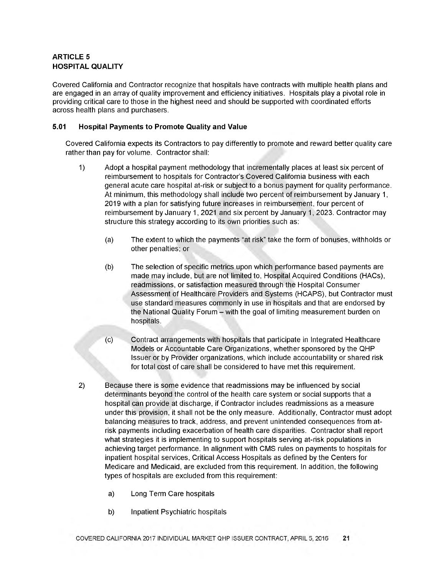#### ARTICLE 5 HOSPITAL QUALITY

Covered California and Contractor recognize that hospitals have contracts with multiple health plans and are engaged in an array of quality improvement and efficiency initiatives. Hospitals play a pivotal role in providing critical care to those in the highest need and should be supported with coordinated efforts across health plans and purchasers.

## 5.01 Hospital Payments to Promote Quality and Value

Covered California expects its Contractors to pay differently to promote and reward better quality care rather than pay for volume. Contractor shall:

- 1) Adopt a hospital payment methodology that incrementally places at least six percent of reimbursement to hospitals for Contractor's Covered California business with each general acute care hospital at-risk or subject to a bonus payment for quality performance. At minimum, this methodology shall include two percent of reimbursement by January 1, 2019 with a plan for satisfying future increases in reimbursement, four percent of reimbursement by January 1, 2021 and six percent by January 1, 2023. Contractor may structure this strategy according to its own priorities such as:
	- (a) The extent to which the payments "at risk" take the form of bonuses, withholds or other penalties; or
	- (b) The selection of specific metrics upon which performance based payments are made may include, but are not limited to, Hospital Acquired Conditions (HACs), readmissions, or satisfaction measured through the Hospital Consumer Assessment of Healthcare Providers and Systems (HCAPS), but Contractor must use standard measures commonly in use in hospitals and that are endorsed by the National Quality Forum - with the goal of limiting measurement burden on hospitals.
	- (c) Contract arrangements with hospitals that participate in Integrated Healthcare Models or Accountable Care Organizations, whether sponsored by the QHP Issuer or by Provider organizations, which include accountability or shared risk for total cost of care shall be considered to have met this requirement.
- 2) Because there is some evidence that readmissions may be influenced by social determinants beyond the control of the health care system or social supports that a hospital can provide at discharge, if Contractor includes readmissions as a measure under this provision, it shall not be the only measure. Additionally, Contractor must adopt balancing measures to track, address, and prevent unintended consequences from atrisk payments including exacerbation of health care disparities. Contractor shall report what strategies it is implementing to support hospitals serving at-risk populations in achieving target performance. In alignment with CMS rules on payments to hospitals for inpatient hospital services, Critical Access Hospitals as defined by the Centers for Medicare and Medicaid, are excluded from this requirement. In addition, the following types of hospitals are excluded from this requirement:
	- a) Long Term Care hospitals
	- b) Inpatient Psychiatric hospitals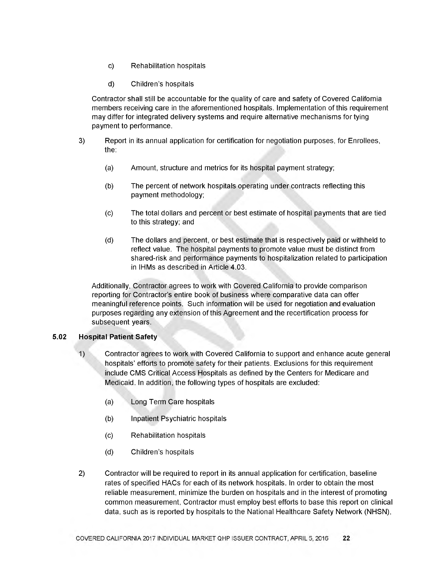- c) Rehabilitation hospitals
- d) Children's hospitals

Contractor shall still be accountable for the quality of care and safety of Covered California members receiving care in the aforementioned hospitals. Implementation of this requirement may differ for integrated delivery systems and require alternative mechanisms for tying payment to performance.

- 3) Report in its annual application for certification for negotiation purposes, for Enrollees, the:
	- (a) Amount, structure and metrics for its hospital payment strategy;
	- (b) The percent of network hospitals operating under contracts reflecting this payment methodology;
	- (c) The total dollars and percent or best estimate of hospital payments that are tied to this strategy; and
	- (d) The dollars and percent, or best estimate that is respectively paid or withheld to reflect value. The hospital payments to promote value must be distinct from shared-risk and performance payments to hospitalization related to participation in IHMs as described in Article 4.03.

Additionally, Contractor agrees to work with Covered California to provide comparison reporting for Contractor's entire book of business where comparative data can offer meaningful reference points. Such information will be used for negotiation and evaluation purposes regarding any extension of this Agreement and the recertification process for subsequent years.

## 5.02 Hospital Patient Safety

- 1) Contractor agrees to work with Covered California to support and enhance acute general hospitals' efforts to promote safety for their patients. Exclusions for this requirement include CMS Critical Access Hospitals as defined by the Centers for Medicare and Medicaid. In addition, the following types of hospitals are excluded:
	- (a) Long Term Care hospitals
	- (b) Inpatient Psychiatric hospitals
	- (c) Rehabilitation hospitals
	- (d) Children's hospitals
- 2) Contractor will be required to report in its annual application for certification, baseline rates of specified HACs for each of its network hospitals. In order to obtain the most reliable measurement, minimize the burden on hospitals and in the interest of promoting common measurement, Contractor must employ best efforts to base this report on clinical data, such as is reported by hospitals to the National Healthcare Safety Network (NHSN),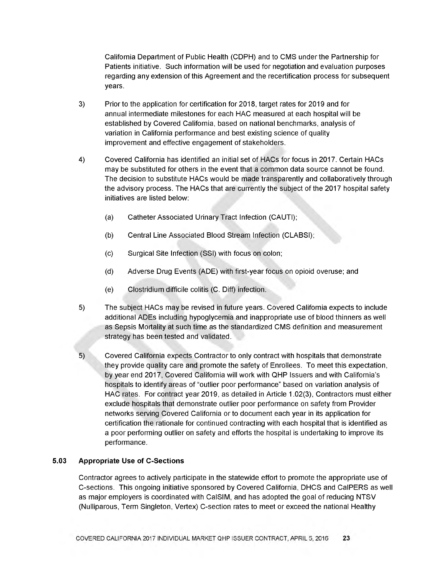California Department of Public Health (CDPH) and to CMS under the Partnership for Patients initiative. Such information will be used for negotiation and evaluation purposes regarding any extension of this Agreement and the recertification process for subsequent years.

- 3) Prior to the application for certification for 2018, target rates for 2019 and for annual intermediate milestones for each HAC measured at each hospital will be established by Covered California, based on national benchmarks, analysis of variation in California performance and best existing science of quality improvement and effective engagement of stakeholders.
- 4) Covered California has identified an initial set of HACs for focus in 2017. Certain HACs may be substituted for others in the event that a common data source cannot be found. The decision to substitute HACs would be made transparently and collaboratively through the advisory process. The HACs that are currently the subject of the 2017 hospital safety initiatives are listed below:
	- (a) Catheter Associated Urinary Tract Infection (CAUTI);
	- (b) Central Line Associated Blood Stream Infection (CLABSI);
	- (c) Surgical Site Infection (SSI) with focus on colon;
	- (d) Adverse Drug Events (ADE) with first-year focus on opioid overuse; and
	- (e) Clostridium difficil[e colitis](http://www.webmd.com/ibd-crohns-disease/ulcerative-colitis/default.htm) (C. Diff) infection.
- 5) The subject HACs may be revised in future years. Covered California expects to include additional ADEs including hypoglycemia and inappropriate use of blood thinners as well as Sepsis Mortality at such time as the standardized CMS definition and measurement strategy has been tested and validated.
- 5) Covered California expects Contractor to only contract with hospitals that demonstrate they provide quality care and promote the safety of Enrollees. To meet this expectation, by year end 2017, Covered California will work with QHP Issuers and with California's hospitals to identify areas of "outlier poor performance" based on variation analysis of HAC rates. For contract year 2019, as detailed in Article 1.02(3), Contractors must either exclude hospitals that demonstrate outlier poor performance on safety from Provider networks serving Covered California or to document each year in its application for certification the rationale for continued contracting with each hospital that is identified as a poor performing outlier on safety and efforts the hospital is undertaking to improve its performance.

## 5.03 Appropriate Use of C-Sections

Contractor agrees to actively participate in the statewide effort to promote the appropriate use of C-sections. This ongoing initiative sponsored by Covered California, DHCS and CalPERS as well as major employers is coordinated with CalSIM, and has adopted the goal of reducing NTSV (Nulliparous, Term Singleton, Vertex) C-section rates to meet or exceed the national Healthy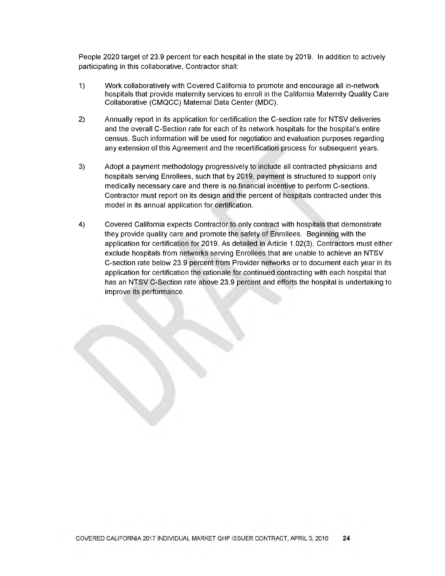People 2020 target of 23.9 percent for each hospital in the state by 2019. In addition to actively participating in this collaborative, Contractor shall:

- 1) Work collaboratively with Covered California to promote and encourage all in-network hospitals that provide maternity services to enroll in the California Maternity Quality Care Collaborative (CMQCC) Maternal Data Center (MDC).
- 2) Annually report in its application for certification the C-section rate for NTSV deliveries and the overall C-Section rate for each of its network hospitals for the hospital's entire census. Such information will be used for negotiation and evaluation purposes regarding any extension of this Agreement and the recertification process for subsequent years.
- 3) Adopt a payment methodology progressively to include all contracted physicians and hospitals serving Enrollees, such that by 2019, payment is structured to support only medically necessary care and there is no financial incentive to perform C-sections. Contractor must report on its design and the percent of hospitals contracted under this model in its annual application for certification.
- 4) Covered California expects Contractor to only contract with hospitals that demonstrate they provide quality care and promote the safety of Enrollees. Beginning with the application for certification for 2019, As detailed in Article 1.02(3), Contractors must either exclude hospitals from networks serving Enrollees that are unable to achieve an NTSV C-section rate below 23.9 percent from Provider networks or to document each year in its application for certification the rationale for continued contracting with each hospital that has an NTSV C-Section rate above 23.9 percent and efforts the hospital is undertaking to improve its performance.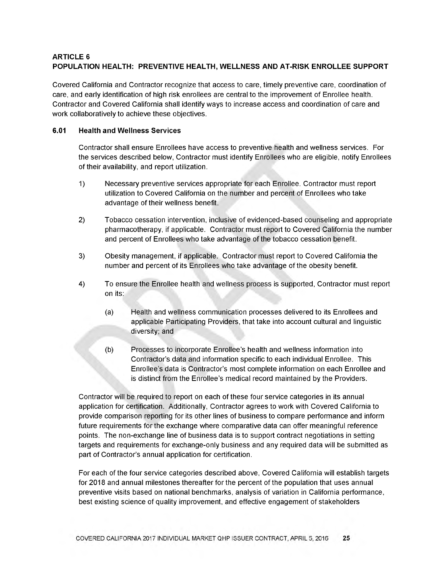#### ARTICLE 6 POPULATION HEALTH: PREVENTIVE HEALTH, WELLNESS AND AT-RISK ENROLLEE SUPPORT

Covered California and Contractor recognize that access to care, timely preventive care, coordination of care, and early identification of high risk enrollees are central to the improvement of Enrollee health. Contractor and Covered California shall identify ways to increase access and coordination of care and work collaboratively to achieve these objectives.

#### 6.01 Health and Wellness Services

Contractor shall ensure Enrollees have access to preventive health and wellness services. For the services described below, Contractor must identify Enrollees who are eligible, notify Enrollees of their availability, and report utilization.

- 1) Necessary preventive services appropriate for each Enrollee. Contractor must report utilization to Covered California on the number and percent of Enrollees who take advantage of their wellness benefit.
- 2) Tobacco cessation intervention, inclusive of evidenced-based counseling and appropriate pharmacotherapy, if applicable. Contractor must report to Covered California the number and percent of Enrollees who take advantage of the tobacco cessation benefit.
- 3) Obesity management, if applicable. Contractor must report to Covered California the number and percent of its Enrollees who take advantage of the obesity benefit.
- 4) To ensure the Enrollee health and wellness process is supported, Contractor must report on its:
	- (a) Health and wellness communication processes delivered to its Enrollees and applicable Participating Providers, that take into account cultural and linguistic diversity; and
	- (b) Processes to incorporate Enrollee's health and wellness information into Contractor's data and information specific to each individual Enrollee. This Enrollee's data is Contractor's most complete information on each Enrollee and is distinct from the Enrollee's medical record maintained by the Providers.

Contractor will be required to report on each of these four service categories in its annual application for certification. Additionally, Contractor agrees to work with Covered California to provide comparison reporting for its other lines of business to compare performance and inform future requirements for the exchange where comparative data can offer meaningful reference points. The non-exchange line of business data is to support contract negotiations in setting targets and requirements for exchange-only business and any required data will be submitted as part of Contractor's annual application for certification.

For each of the four service categories described above, Covered California will establish targets for 2018 and annual milestones thereafter for the percent of the population that uses annual preventive visits based on national benchmarks, analysis of variation in California performance, best existing science of quality improvement, and effective engagement of stakeholders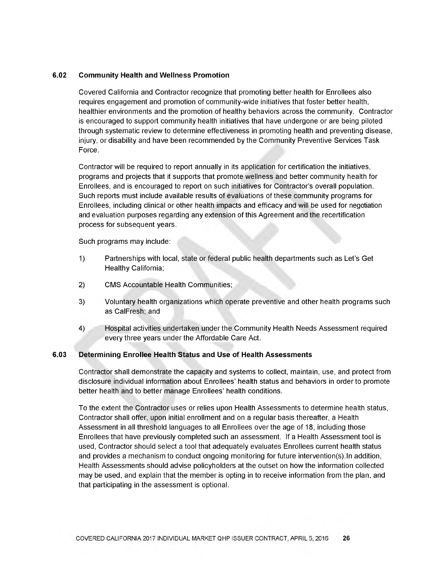#### 6.02 Community Health and Wellness Promotion

Covered California and Contractor recognize that promoting better health for Enrollees also requires engagement and promotion of community-wide initiatives that foster better health, healthier environments and the promotion of healthy behaviors across the community. Contractor is encouraged to support community health initiatives that have undergone or are being piloted through systematic review to determine effectiveness in promoting health and preventing disease, injury, or disability and have been recommended by the Community Preventive Services Task Force.

Contractor will be required to report annually in its application for certification the initiatives, programs and projects that it supports that promote wellness and better community health for Enrollees, and is encouraged to report on such initiatives for Contractor's overall population. Such reports must include available results of evaluations of these community programs for Enrollees, including clinical or other health impacts and efficacy and will be used for negotiation and evaluation purposes regarding any extension of this Agreement and the recertification process for subsequent years.

Such programs may include:

- 1) Partnerships with local, state or federal public health departments such as Let's Get Healthy California;
- 2) CMS Accountable Health Communities;
- 3) Voluntary health organizations which operate preventive and other health programs such as CalFresh; and
- 4) Hospital activities undertaken under the Community Health Needs Assessment required every three years under the Affordable Care Act.

## 6.03 Determining Enrollee Health Status and Use of Health Assessments

Contractor shall demonstrate the capacity and systems to collect, maintain, use, and protect from disclosure individual information about Enrollees' health status and behaviors in order to promote better health and to better manage Enrollees' health conditions.

To the extent the Contractor uses or relies upon Health Assessments to determine health status, Contractor shall offer, upon initial enrollment and on a regular basis thereafter, a Health Assessment in all threshold languages to all Enrollees over the age of 18, including those Enrollees that have previously completed such an assessment. If a Health Assessment tool is used, Contractor should select a tool that adequately evaluates Enrollees current health status and provides a mechanism to conduct ongoing monitoring for future intervention(s).In addition, Health Assessments should advise policyholders at the outset on how the information collected may be used, and explain that the member is opting in to receive information from the plan, and that participating in the assessment is optional.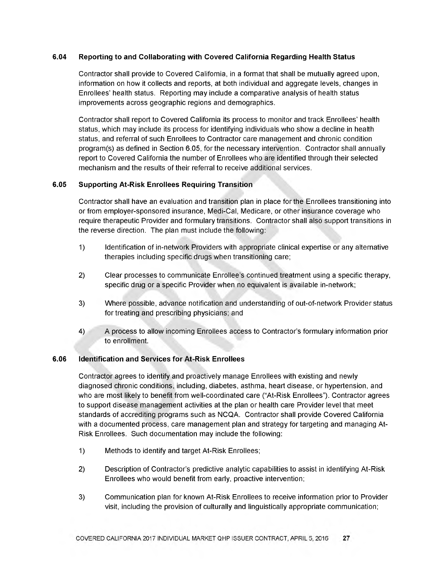#### 6.04 Reporting to and Collaborating with Covered California Regarding Health Status

Contractor shall provide to Covered California, in a format that shall be mutually agreed upon, information on how it collects and reports, at both individual and aggregate levels, changes in Enrollees' health status. Reporting may include a comparative analysis of health status improvements across geographic regions and demographics.

Contractor shall report to Covered California its process to monitor and track Enrollees' health status, which may include its process for identifying individuals who show a decline in health status, and referral of such Enrollees to Contractor care management and chronic condition program(s) as defined in Section 6.05, for the necessary intervention. Contractor shall annually report to Covered California the number of Enrollees who are identified through their selected mechanism and the results of their referral to receive additional services.

#### 6.05 Supporting At-Risk Enrollees Requiring Transition

Contractor shall have an evaluation and transition plan in place for the Enrollees transitioning into or from employer-sponsored insurance, Medi-Cal, Medicare, or other insurance coverage who require therapeutic Provider and formulary transitions. Contractor shall also support transitions in the reverse direction. The plan must include the following:

- 1) Identification of in-network Providers with appropriate clinical expertise or any alternative therapies including specific drugs when transitioning care;
- 2) Clear processes to communicate Enrollee's continued treatment using a specific therapy, specific drug or a specific Provider when no equivalent is available in-network;
- 3) Where possible, advance notification and understanding of out-of-network Provider status for treating and prescribing physicians; and
- 4) A process to allow incoming Enrollees access to Contractor's formulary information prior to enrollment.

#### 6.06 Identification and Services for At-Risk Enrollees

Contractor agrees to identify and proactively manage Enrollees with existing and newly diagnosed chronic conditions, including, diabetes, asthma, heart disease, or hypertension, and who are most likely to benefit from well-coordinated care ("At-Risk Enrollees"). Contractor agrees to support disease management activities at the plan or health care Provider level that meet standards of accrediting programs such as NCQA. Contractor shall provide Covered California with a documented process, care management plan and strategy for targeting and managing At-Risk Enrollees. Such documentation may include the following:

- 1) Methods to identify and target At-Risk Enrollees;
- 2) Description of Contractor's predictive analytic capabilities to assist in identifying At-Risk Enrollees who would benefit from early, proactive intervention;
- 3) Communication plan for known At-Risk Enrollees to receive information prior to Provider visit, including the provision of culturally and linguistically appropriate communication;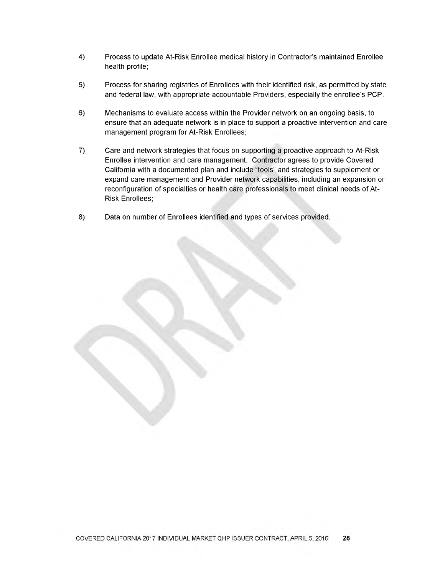- 4) Process to update At-Risk Enrollee medical history in Contractor's maintained Enrollee health profile;
- 5) Process for sharing registries of Enrollees with their identified risk, as permitted by state and federal law, with appropriate accountable Providers, especially the enrollee's PCP.
- 6) Mechanisms to evaluate access within the Provider network on an ongoing basis, to ensure that an adequate network is in place to support a proactive intervention and care management program for At-Risk Enrollees;
- 7) Care and network strategies that focus on supporting a proactive approach to At-Risk Enrollee intervention and care management. Contractor agrees to provide Covered California with a documented plan and include "tools" and strategies to supplement or expand care management and Provider network capabilities, including an expansion or reconfiguration of specialties or health care professionals to meet clinical needs of At-Risk Enrollees;
- 8) Data on number of Enrollees identified and types of services provided.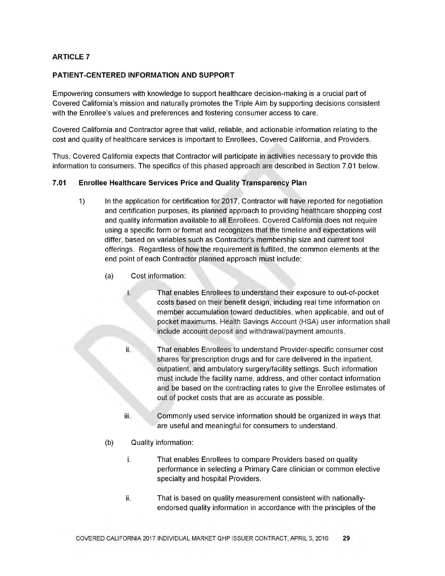## ARTICLE 7

#### PATIENT-CENTERED INFORMATION AND SUPPORT

Empowering consumers with knowledge to support healthcare decision-making is a crucial part of Covered California's mission and naturally promotes the Triple Aim by supporting decisions consistent with the Enrollee's values and preferences and fostering consumer access to care.

Covered California and Contractor agree that valid, reliable, and actionable information relating to the cost and quality of healthcare services is important to Enrollees, Covered California, and Providers.

Thus, Covered California expects that Contractor will participate in activities necessary to provide this information to consumers. The specifics of this phased approach are described in Section 7.01 below.

#### 7.01 Enrollee Healthcare Services Price and Quality Transparency Plan

- 1) In the application for certification for 2017, Contractor will have reported for negotiation and certification purposes, its planned approach to providing healthcare shopping cost and quality information available to all Enrollees. Covered California does not require using a specific form or format and recognizes that the timeline and expectations will differ, based on variables such as Contractor's membership size and current tool offerings. Regardless of how the requirement is fulfilled, the common elements at the end point of each Contractor planned approach must include:
	- (a) Cost information:
		- i. That enables Enrollees to understand their exposure to out-of-pocket costs based on their benefit design, including real time information on member accumulation toward deductibles, when applicable, and out of pocket maximums. Health Savings Account (HSA) user information shall include account deposit and withdrawal/payment amounts.
		- ii. That enables Enrollees to understand Provider-specific consumer cost shares for prescription drugs and for care delivered in the inpatient, outpatient, and ambulatory surgery/facility settings. Such information must include the facility name, address, and other contact information and be based on the contracting rates to give the Enrollee estimates of out of pocket costs that are as accurate as possible.
		- iii. Commonly used service information should be organized in ways that are useful and meaningful for consumers to understand.
	- (b) Quality information:
		- i. That enables Enrollees to compare Providers based on quality performance in selecting a Primary Care clinician or common elective specialty and hospital Providers.
		- ii. That is based on quality measurement consistent with nationallyendorsed quality information in accordance with the principles of the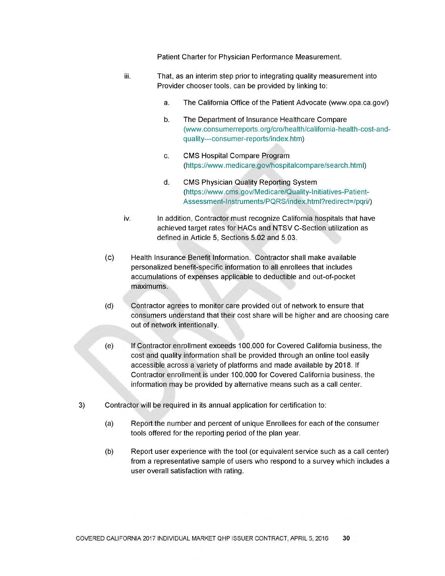Patient Charter for Physician Performance Measurement.

- iii. That, as an interim step prior to integrating quality measurement into Provider chooser tools, can be provided by linking to:
	- a. The California Office of the Patient Advocate [\(www.opa.ca.gov/](http://www.opa.ca.gov/))
	- b. The Department of Insurance Healthcare Compare [\(www.consumerreports.org/cro/health/california-health-cost-and](http://(www.consumerreports.org/cro/health/california-health-cost-and-quality---consumer-reports/index.htm)[quality---consumer-reports/index.htm\)](http://(www.consumerreports.org/cro/health/california-health-cost-and-quality---consumer-reports/index.htm)
	- c. CMS Hospital Compare Program [\(https://www.medicare.gov/hospitalcompare/search.html\)](https://www.medicare.gov/hospitalcompare/search.html)
	- d. CMS Physician Quality Reporting System [\(https://www.cms.gov/Medicare/Quality-Initiatives-Patient-](https://www.cms.gov/Medicare/Quality-Initiatives-Patient-Assessment-Instruments/PQRS/index.html?redirect=/pqri/)[Assessment-Instruments/PQRS/index.html?redirect=/pqri/\)](https://www.cms.gov/Medicare/Quality-Initiatives-Patient-Assessment-Instruments/PQRS/index.html?redirect=/pqri/)
- iv. In addition, Contractor must recognize California hospitals that have achieved target rates for HACs and NTSV C-Section utilization as defined in Article 5, Sections 5.02 and 5.03.
- (c) Health Insurance Benefit Information. Contractor shall make available personalized benefit-specific information to all enrollees that includes accumulations of expenses applicable to deductible and out-of-pocket maximums.
- (d) Contractor agrees to monitor care provided out of network to ensure that consumers understand that their cost share will be higher and are choosing care out of network intentionally.
- (e) If Contractor enrollment exceeds 100,000 for Covered California business, the cost and quality information shall be provided through an online tool easily accessible across a variety of platforms and made available by 2018. If Contractor enrollment is under 100,000 for Covered California business, the information may be provided by alternative means such as a call center.
- 3) Contractor will be required in its annual application for certification to:
	- (a) Report the number and percent of unique Enrollees for each of the consumer tools offered for the reporting period of the plan year.
	- (b) Report user experience with the tool (or equivalent service such as a call center) from a representative sample of users who respond to a survey which includes a user overall satisfaction with rating.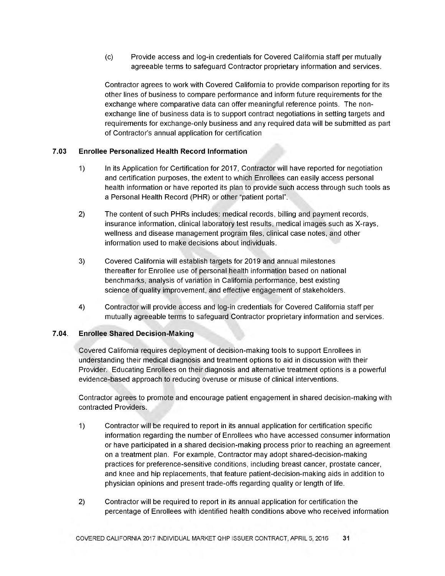(c) Provide access and log-in credentials for Covered California staff per mutually agreeable terms to safeguard Contractor proprietary information and services.

Contractor agrees to work with Covered California to provide comparison reporting for its other lines of business to compare performance and inform future requirements for the exchange where comparative data can offer meaningful reference points. The nonexchange line of business data is to support contract negotiations in setting targets and requirements for exchange-only business and any required data will be submitted as part of Contractor's annual application for certification

## 7.03 Enrollee Personalized Health Record Information

- 1) In its Application for Certification for 2017, Contractor will have reported for negotiation and certification purposes, the extent to which Enrollees can easily access personal health information or have reported its plan to provide such access through such tools as a Personal Health Record (PHR) or other "patient portal".
- 2) The content of such PHRs includes: medical records, billing and payment records, insurance information, clinical laboratory test results, medical images such as X-rays, wellness and disease management program files, clinical case notes, and other information used to make decisions about individuals.
- 3) Covered California will establish targets for 2019 and annual milestones thereafter for Enrollee use of personal health information based on national benchmarks, analysis of variation in California performance, best existing science of quality improvement, and effective engagement of stakeholders.
- 4) Contractor will provide access and log-in credentials for Covered California staff per mutually agreeable terms to safeguard Contractor proprietary information and services.

## 7.04. Enrollee Shared Decision-Making

Covered California requires deployment of decision-making tools to support Enrollees in understanding their medical diagnosis and treatment options to aid in discussion with their Provider. Educating Enrollees on their diagnosis and alternative treatment options is a powerful evidence-based approach to reducing overuse or misuse of clinical interventions.

Contractor agrees to promote and encourage patient engagement in shared decision-making with contracted Providers.

- 1) Contractor will be required to report in its annual application for certification specific information regarding the number of Enrollees who have accessed consumer information or have participated in a shared decision-making process prior to reaching an agreement on a treatment plan. For example, Contractor may adopt shared-decision-making practices for preference-sensitive conditions, including breast cancer, prostate cancer, and knee and hip replacements, that feature patient-decision-making aids in addition to physician opinions and present trade-offs regarding quality or length of life.
- 2) Contractor will be required to report in its annual application for certification the percentage of Enrollees with identified health conditions above who received information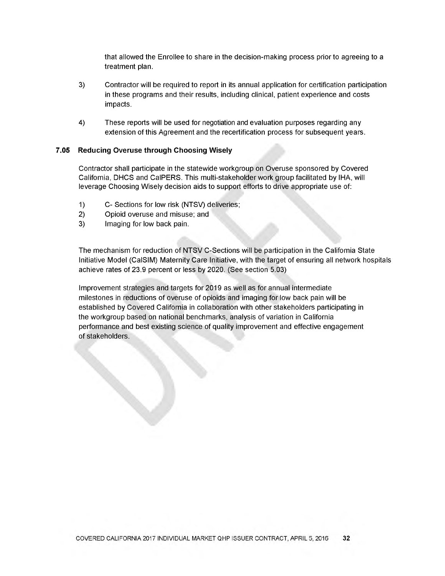that allowed the Enrollee to share in the decision-making process prior to agreeing to a treatment plan.

- 3) Contractor will be required to report in its annual application for certification participation in these programs and their results, including clinical, patient experience and costs impacts.
- 4) These reports will be used for negotiation and evaluation purposes regarding any extension of this Agreement and the recertification process for subsequent years.

#### 7.05 Reducing Overuse through Choosing Wisely

Contractor shall participate in the statewide workgroup on Overuse sponsored by Covered California, DHCS and CalPERS. This multi-stakeholder work group facilitated by IHA, will leverage Choosing Wisely decision aids to support efforts to drive appropriate use of:

- 1) C- Sections for low risk (NTSV) deliveries;
- 2) Opioid overuse and misuse; and
- 3) Imaging for low back pain.

The mechanism for reduction of NTSV C-Sections will be participation in the California State Initiative Model (CalSIM) Maternity Care Initiative, with the target of ensuring all network hospitals achieve rates of 23.9 percent or less by 2020. (See section 5.03)

Improvement strategies and targets for 2019 as well as for annual intermediate milestones in reductions of overuse of opioids and imaging for low back pain will be established by Covered California in collaboration with other stakeholders participating in the workgroup based on national benchmarks, analysis of variation in California performance and best existing science of quality improvement and effective engagement of stakeholders.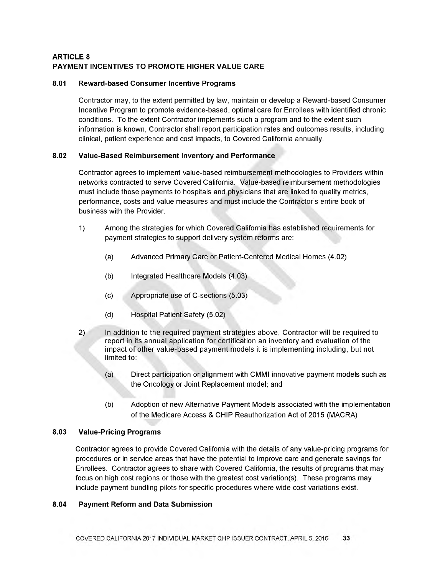## ARTICLE 8 PAYMENT INCENTIVES TO PROMOTE HIGHER VALUE CARE

## 8.01 Reward-based Consumer Incentive Programs

Contractor may, to the extent permitted by law, maintain or develop a Reward-based Consumer Incentive Program to promote evidence-based, optimal care for Enrollees with identified chronic conditions. To the extent Contractor implements such a program and to the extent such information is known, Contractor shall report participation rates and outcomes results, including clinical, patient experience and cost impacts, to Covered California annually.

# 8.02 Value-Based Reimbursement Inventory and Performance

Contractor agrees to implement value-based reimbursement methodologies to Providers within networks contracted to serve Covered California. Value-based reimbursement methodologies must include those payments to hospitals and physicians that are linked to quality metrics, performance, costs and value measures and must include the Contractor's entire book of business with the Provider.

- 1) Among the strategies for which Covered California has established requirements for payment strategies to support delivery system reforms are:
	- (a) Advanced Primary Care or Patient-Centered Medical Homes (4.02)
	- (b) Integrated Healthcare Models (4.03)
	- (c) Appropriate use of C-sections (5.03)
	- (d) Hospital Patient Safety (5.02)
- 2) In addition to the required payment strategies above, Contractor will be required to report in its annual application for certification an inventory and evaluation of the impact of other value-based payment models it is implementing including, but not limited to:
	- (a) Direct participation or alignment with CMMI innovative payment models such as the Oncology or Joint Replacement model; and
	- (b) Adoption of new Alternative Payment Models associated with the implementation of the Medicare Access [& CHIP R](http://www.insurekidsnow.gov/chip/index.html)eauthorization Act of 2015 (MACRA)

## 8.03 Value-Pricing Programs

Contractor agrees to provide Covered California with the details of any value-pricing programs for procedures or in service areas that have the potential to improve care and generate savings for Enrollees. Contractor agrees to share with Covered California, the results of programs that may focus on high cost regions or those with the greatest cost variation(s). These programs may include payment bundling pilots for specific procedures where wide cost variations exist.

## 8.04 Payment Reform and Data Submission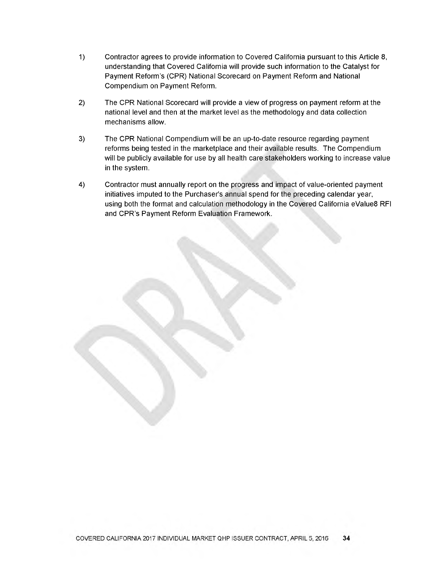- 1) Contractor agrees to provide information to Covered California pursuant to this Article 8, understanding that Covered California will provide such information to the Catalyst for Payment Reform's (CPR) National Scorecard on Payment Reform and National Compendium on Payment Reform.
- 2) The CPR National Scorecard will provide a view of progress on payment reform at the national level and then at the market level as the methodology and data collection mechanisms allow.
- 3) The CPR National Compendium will be an up-to-date resource regarding payment reforms being tested in the marketplace and their available results. The Compendium will be publicly available for use by all health care stakeholders working to increase value in the system.
- 4) Contractor must annually report on the progress and impact of value-oriented payment initiatives imputed to the Purchaser's annual spend for the preceding calendar year, using both the format and calculation methodology in the Covered California eValue8 RFI and CPR's Payment Reform Evaluation Framework.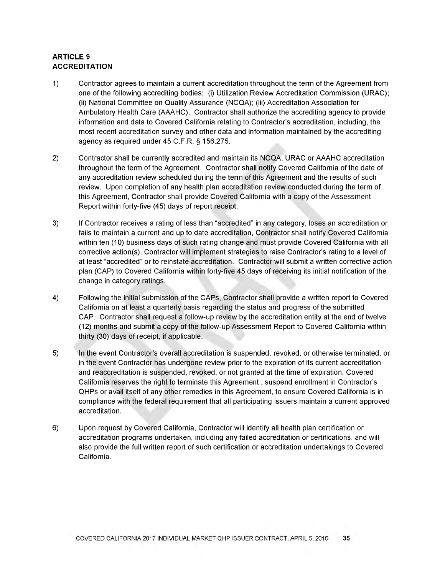## ARTICLE 9 **ACCREDITATION**

- 1) Contractor agrees to maintain a current accreditation throughout the term of the Agreement from one of the following accrediting bodies: (i) Utilization Review Accreditation Commission (URAC); (ii) National Committee on Quality Assurance (NCQA); (iii) Accreditation Association for Ambulatory Health Care (AAAHC). Contractor shall authorize the accrediting agency to provide information and data to Covered California relating to Contractor's accreditation, including, the most recent accreditation survey and other data and information maintained by the accrediting agency as required under 45 C.F.R. § 156.275.
- 2) Contractor shall be currently accredited and maintain its NCQA, URAC or AAAHC accreditation throughout the term of the Agreement. Contractor shall notify Covered California of the date of any accreditation review scheduled during the term of this Agreement and the results of such review. Upon completion of any health plan accreditation review conducted during the term of this Agreement, Contractor shall provide Covered California with a copy of the Assessment Report within forty-five (45) days of report receipt.
- 3) If Contractor receives a rating of less than "accredited" in any category, loses an accreditation or fails to maintain a current and up to date accreditation, Contractor shall notify Covered California within ten (10) business days of such rating change and must provide Covered California with all corrective action(s). Contractor will implement strategies to raise Contractor's rating to a level of at least "accredited" or to reinstate accreditation. Contractor will submit a written corrective action plan (CAP) to Covered California within forty-five 45 days of receiving its initial notification of the change in category ratings.
- 4) Following the initial submission of the CAPs, Contractor shall provide a written report to Covered California on at least a quarterly basis regarding the status and progress of the submitted CAP. Contractor shall request a follow-up review by the accreditation entity at the end of twelve (12) months and submit a copy of the follow-up Assessment Report to Covered California within thirty (30) days of receipt, if applicable.
- 5) In the event Contractor's overall accreditation is suspended, revoked, or otherwise terminated, or in the event Contractor has undergone review prior to the expiration of its current accreditation and reaccreditation is suspended, revoked, or not granted at the time of expiration, Covered California reserves the right to terminate this Agreement , suspend enrollment in Contractor's QHPs or avail itself of any other remedies in this Agreement, to ensure Covered California is in compliance with the federal requirement that all participating issuers maintain a current approved accreditation.
- 6) Upon request by Covered California, Contractor will identify all health plan certification or accreditation programs undertaken, including any failed accreditation or certifications, and will also provide the full written report of such certification or accreditation undertakings to Covered California.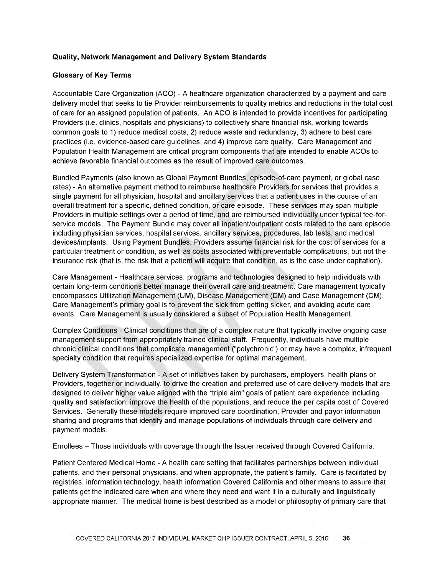#### Quality, Network Management and Delivery System Standards

#### Glossary of Key Terms

Accountable Care Organization (ACO) - A healthcare organization characterized by a payment and care delivery model that seeks to tie Provider reimbursements to quality metrics and reductions in the total cost of care for an assigned population of patients. An ACO is intended to provide incentives for participating Providers (i.e. clinics, hospitals and physicians) to collectively share financial risk, working towards common goals to 1) reduce medical costs, 2) reduce waste and redundancy, 3) adhere to best care practices (i.e. evidence-based care guidelines, and 4) improve care quality. Care Management and Population Health Management are critical program components that are intended to enable ACOs to achieve favorable financial outcomes as the result of improved care outcomes.

Bundled Payments (also known as Global Payment Bundles, episode-of-care payment, or global case rates) - An alternative payment method to reimburse healthcare Providers for services that provides a single payment for all physician, hospital and ancillary services that a patient uses in the course of an overall treatment for a specific, defined condition, or care episode. These services may span multiple Providers in multiple settings over a period of time, and are reimbursed individually under typical fee-forservice models. The Payment Bundle may cover all inpatient/outpatient costs related to the care episode, including physician services, hospital services, ancillary services, procedures, lab tests, and medical devices/implants. Using Payment Bundles, Providers assume financial risk for the cost of services for a particular treatment or condition, as well as costs associated with preventable complications, but not the insurance risk (that is, the risk that a patient will acquire that condition, as is the case under capitation).

Care Management - Healthcare services, programs and technologies designed to help individuals with certain long-term conditions better manage their overall care and treatment. Care management typically encompasses Utilization Management (UM), Disease Management (DM) and Case Management (CM). Care Management's primary goal is to prevent the sick from getting sicker, and avoiding acute care events. Care Management is usually considered a subset of Population Health Management.

Complex Conditions - Clinical conditions that are of a complex nature that typically involve ongoing case management support from appropriately trained clinical staff. Frequently, individuals have multiple chronic clinical conditions that complicate management ("polychronic") or may have a complex, infrequent specialty condition that requires specialized expertise for optimal management.

Delivery System Transformation - A set of initiatives taken by purchasers, employers, health plans or Providers, together or individually, to drive the creation and preferred use of care delivery models that are designed to deliver higher value aligned with the "triple aim" goals of patient care experience including quality and satisfaction, improve the health of the populations, and reduce the per capita cost of Covered Services. Generally these models require improved care coordination, Provider and payor information sharing and programs that identify and manage populations of individuals through care delivery and payment models.

Enrollees - Those individuals with coverage through the Issuer received through Covered California.

Patient Centered Medical Home - A health care setting that facilitates partnerships between individual patients, and their personal physicians, and when appropriate, the patient's family. Care is facilitated by registries, information technology, health information Covered California and other means to assure that patients get the indicated care when and where they need and want it in a culturally and linguistically appropriate manner. The medical home is best described as a model or philosophy of primary care that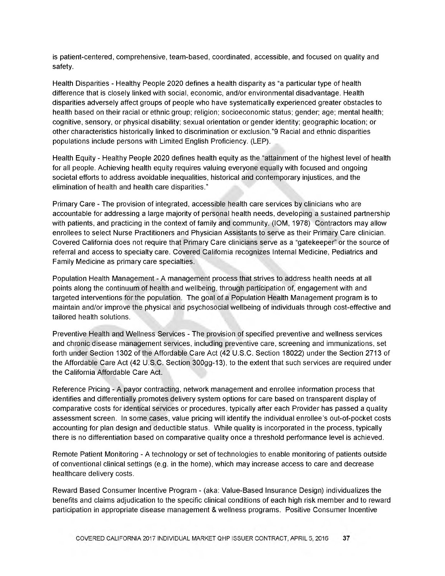is patient-centered, comprehensive, team-based, coordinated, accessible, and focused on quality and safety.

Health Disparities - Healthy People 2020 defines a health disparity as "a particular type of health difference that is closely linked with social, economic, and/or environmental disadvantage. Health disparities adversely affect groups of people who have systematically experienced greater obstacles to health based on their racial or ethnic group; religion; socioeconomic status; gender; age; mental health; cognitive, sensory, or physical disability; sexual orientation or gender identity; geographic location; or other characteristics historically linked to discrimination or exclusion."9 Racial and ethnic disparities populations include persons with Limited English Proficiency. (LEP).

Health Equity - Healthy People 2020 defines health equity as the "attainment of the highest level of health for all people. Achieving health equity requires valuing everyone equally with focused and ongoing societal efforts to address avoidable inequalities, historical and contemporary injustices, and the elimination of health and health care disparities."

Primary Care - The provision of integrated, accessible health care services by clinicians who are accountable for addressing a large majority of personal health needs, developing a sustained partnership with patients, and practicing in the context of family and community. (IOM, 1978) Contractors may allow enrollees to select Nurse Practitioners and Physician Assistants to serve as their Primary Care clinician. Covered California does not require that Primary Care clinicians serve as a "gatekeeper" or the source of referral and access to specialty care. Covered California recognizes Internal Medicine, Pediatrics and Family Medicine as primary care specialties.

Population Health Management - A management process that strives to address health needs at all points along the continuum of health and wellbeing, through participation of, engagement with and targeted interventions for the population. The goal of a Population Health Management program is to maintain and/or improve the physical and psychosocial wellbeing of individuals through cost-effective and tailored health solutions.

Preventive Health and Wellness Services - The provision of specified preventive and wellness services and chronic disease management services, including preventive care, screening and immunizations, set forth under Section 1302 of the Affordable Care Act (42 U.S.C. Section 18022) under the Section 2713 of the Affordable Care Act (42 U.S.C. Section 300gg-13), to the extent that such services are required under the California Affordable Care Act.

Reference Pricing - A payor contracting, network management and enrollee information process that identifies and differentially promotes delivery system options for care based on transparent display of comparative costs for identical services or procedures, typically after each Provider has passed a quality assessment screen. In some cases, value pricing will identify the individual enrollee's out-of-pocket costs accounting for plan design and deductible status. While quality is incorporated in the process, typically there is no differentiation based on comparative quality once a threshold performance level is achieved.

Remote Patient Monitoring - A technology or set of technologies to enable monitoring of patients outside of conventional clinical settings (e.g. in the home), which may increase access to care and decrease healthcare delivery costs.

Reward Based Consumer Incentive Program - (aka: Value-Based Insurance Design) individualizes the benefits and claims adjudication to the specific clinical conditions of each high risk member and to reward participation in appropriate disease management & wellness programs. Positive Consumer Incentive